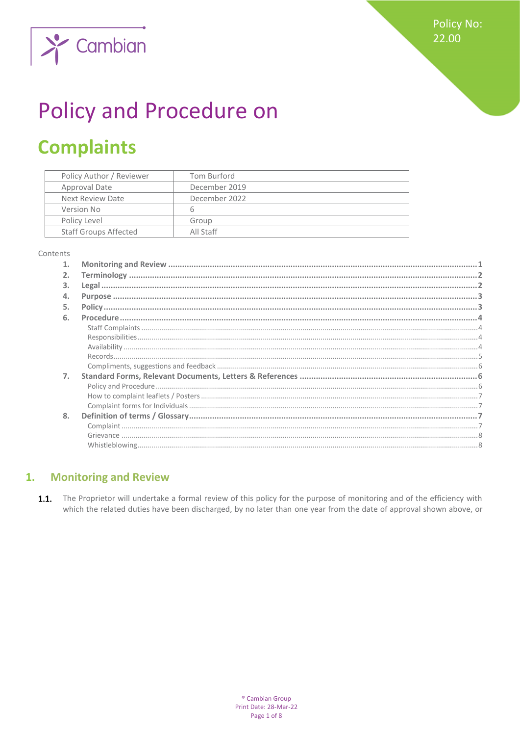**Policy No:** 22.00



# **Policy and Procedure on**

## **Complaints**

| Policy Author / Reviewer     | Tom Burford   |
|------------------------------|---------------|
| Approval Date                | December 2019 |
| Next Review Date             | December 2022 |
| Version No                   | 6             |
| Policy Level                 | Group         |
| <b>Staff Groups Affected</b> | All Staff     |

#### Contents

| 2.               |  |
|------------------|--|
| 3.               |  |
| 4.               |  |
| 5.               |  |
| 6.               |  |
|                  |  |
|                  |  |
|                  |  |
|                  |  |
|                  |  |
| $\overline{7}$ . |  |
|                  |  |
|                  |  |
|                  |  |
| 8.               |  |
|                  |  |
|                  |  |
|                  |  |

#### <span id="page-0-0"></span>**Monitoring and Review**  $1.$

 $1.1.$ The Proprietor will undertake a formal review of this policy for the purpose of monitoring and of the efficiency with which the related duties have been discharged, by no later than one year from the date of approval shown above, or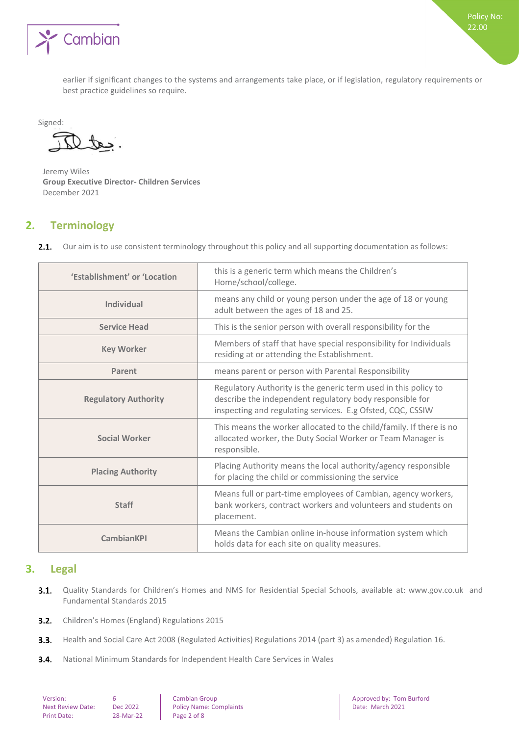

earlier if significant changes to the systems and arrangements take place, or if legislation, regulatory requirements or best practice guidelines so require.

Signed:

 $\mathcal{L}$ 

Jeremy Wiles **Group Executive Director- Children Services**  December 2021

## <span id="page-1-0"></span>**2. Terminology**

Our aim is to use consistent terminology throughout this policy and all supporting documentation as follows:  $2.1.$ 

| 'Establishment' or 'Location | this is a generic term which means the Children's<br>Home/school/college.                                                                                                                 |
|------------------------------|-------------------------------------------------------------------------------------------------------------------------------------------------------------------------------------------|
| Individual                   | means any child or young person under the age of 18 or young<br>adult between the ages of 18 and 25.                                                                                      |
| <b>Service Head</b>          | This is the senior person with overall responsibility for the                                                                                                                             |
| <b>Key Worker</b>            | Members of staff that have special responsibility for Individuals<br>residing at or attending the Establishment.                                                                          |
| Parent                       | means parent or person with Parental Responsibility                                                                                                                                       |
| <b>Regulatory Authority</b>  | Regulatory Authority is the generic term used in this policy to<br>describe the independent regulatory body responsible for<br>inspecting and regulating services. E.g Ofsted, CQC, CSSIW |
| <b>Social Worker</b>         | This means the worker allocated to the child/family. If there is no<br>allocated worker, the Duty Social Worker or Team Manager is<br>responsible.                                        |
| <b>Placing Authority</b>     | Placing Authority means the local authority/agency responsible<br>for placing the child or commissioning the service                                                                      |
| <b>Staff</b>                 | Means full or part-time employees of Cambian, agency workers,<br>bank workers, contract workers and volunteers and students on<br>placement.                                              |
| <b>CambianKPI</b>            | Means the Cambian online in-house information system which<br>holds data for each site on quality measures.                                                                               |

## <span id="page-1-1"></span>**3. Legal**

- $3.1.$ Quality Standards for Children's Homes and NMS for Residential Special Schools, available at: www.gov.co.uk and Fundamental Standards 2015
- $3.2.$ Children's Homes (England) Regulations 2015
- $3.3.$ Health and Social Care Act 2008 (Regulated Activities) Regulations 2014 (part 3) as amended) Regulation 16.
- $3.4.$ National Minimum Standards for Independent Health Care Services in Wales

| Version:                |
|-------------------------|
| <b>Next Review Date</b> |
| <b>Print Date:</b>      |

 $Re:$  Dec 2022 **Policy Name: Complaints** 

Version: 6 Cambian Group Approved by: Tom Burford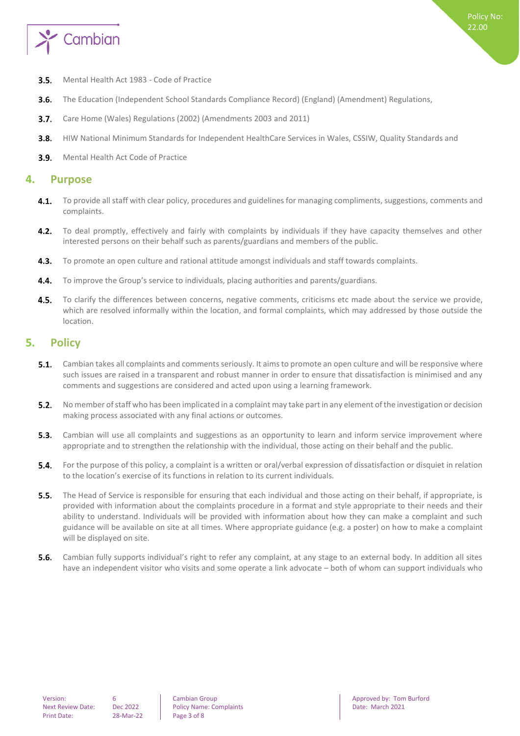

- $3.5.$ Mental Health Act 1983 - Code of Practice
- The Education (Independent School Standards Compliance Record) (England) (Amendment) Regulations,  $3.6.$
- $3.7.$ Care Home (Wales) Regulations (2002) (Amendments 2003 and 2011)
- $3.8.$ HIW National Minimum Standards for Independent HealthCare Services in Wales, CSSIW, Quality Standards and
- <span id="page-2-0"></span> $3.9.$ Mental Health Act Code of Practice

## **4. Purpose**

- $4.1.$ To provide all staff with clear policy, procedures and guidelines for managing compliments, suggestions, comments and complaints.
- $4.2.$ To deal promptly, effectively and fairly with complaints by individuals if they have capacity themselves and other interested persons on their behalf such as parents/guardians and members of the public.
- $4.3.$ To promote an open culture and rational attitude amongst individuals and staff towards complaints.
- $4.4.$ To improve the Group's service to individuals, placing authorities and parents/guardians.
- $4.5.$ To clarify the differences between concerns, negative comments, criticisms etc made about the service we provide, which are resolved informally within the location, and formal complaints, which may addressed by those outside the location.

## <span id="page-2-1"></span>**5. Policy**

- Cambian takes all complaints and comments seriously. It aims to promote an open culture and will be responsive where  $5.1.$ such issues are raised in a transparent and robust manner in order to ensure that dissatisfaction is minimised and any comments and suggestions are considered and acted upon using a learning framework.
- $5.2.$ No member of staff who has been implicated in a complaint may take part in any element of the investigation or decision making process associated with any final actions or outcomes.
- 5.3. Cambian will use all complaints and suggestions as an opportunity to learn and inform service improvement where appropriate and to strengthen the relationship with the individual, those acting on their behalf and the public.
- $5.4.$ For the purpose of this policy, a complaint is a written or oral/verbal expression of dissatisfaction or disquiet in relation to the location's exercise of its functions in relation to its current individuals.
- **5.5.** The Head of Service is responsible for ensuring that each individual and those acting on their behalf, if appropriate, is provided with information about the complaints procedure in a format and style appropriate to their needs and their ability to understand. Individuals will be provided with information about how they can make a complaint and such guidance will be available on site at all times. Where appropriate guidance (e.g. a poster) on how to make a complaint will be displayed on site.
- $5.6.$ Cambian fully supports individual's right to refer any complaint, at any stage to an external body. In addition all sites have an independent visitor who visits and some operate a link advocate – both of whom can support individuals who

Next Review Date: Dec 2022 Policy Name: Complaints Date: March 2021

Version: 6 Cambian Group Approved by: Tom Burford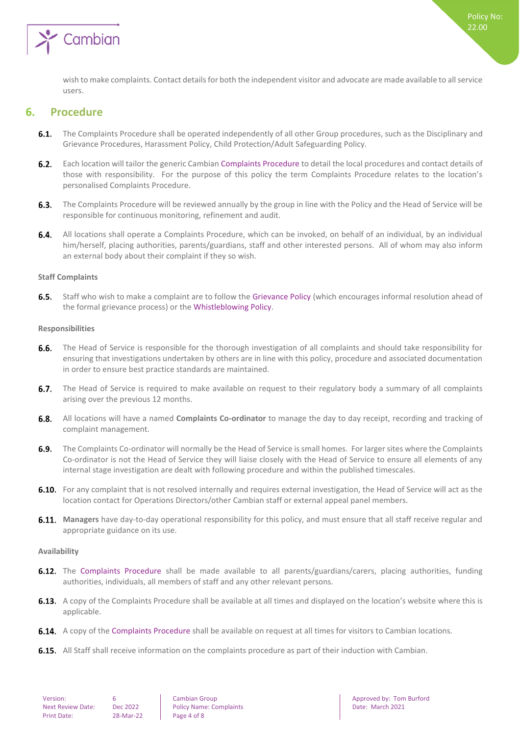

<span id="page-3-0"></span>wish to make complaints. Contact details for both the independent visitor and advocate are made available to all service users.

## **6. Procedure**

- **6.1.** The Complaints Procedure shall be operated independently of all other Group procedures, such as the Disciplinary and Grievance Procedures, Harassment Policy, Child Protection/Adult Safeguarding Policy.
- $6.2.$ Each location will tailor the generic Cambian Complaints Procedure to detail the local procedures and contact details of those with responsibility. For the purpose of this policy the term Complaints Procedure relates to the location's personalised Complaints Procedure.
- $6.3.$ The Complaints Procedure will be reviewed annually by the group in line with the Policy and the Head of Service will be responsible for continuous monitoring, refinement and audit.
- $6.4.$ All locations shall operate a Complaints Procedure, which can be invoked, on behalf of an individual, by an individual him/herself, placing authorities, parents/guardians, staff and other interested persons. All of whom may also inform an external body about their complaint if they so wish.

#### <span id="page-3-1"></span>**Staff Complaints**

6.5. Staff who wish to make a complaint are to follow the Grievance Policy (which encourages informal resolution ahead of the formal grievance process) or the Whistleblowing Policy.

#### <span id="page-3-2"></span>**Responsibilities**

- $6.6.$ The Head of Service is responsible for the thorough investigation of all complaints and should take responsibility for ensuring that investigations undertaken by others are in line with this policy, procedure and associated documentation in order to ensure best practice standards are maintained.
- $6.7.$ The Head of Service is required to make available on request to their regulatory body a summary of all complaints arising over the previous 12 months.
- All locations will have a named **Complaints Co-ordinator** to manage the day to day receipt, recording and tracking of  $6.8.$ complaint management.
- $6.9.$ The Complaints Co-ordinator will normally be the Head of Service is small homes. For larger sites where the Complaints Co-ordinator is not the Head of Service they will liaise closely with the Head of Service to ensure all elements of any internal stage investigation are dealt with following procedure and within the published timescales.
- 6.10. For any complaint that is not resolved internally and requires external investigation, the Head of Service will act as the location contact for Operations Directors/other Cambian staff or external appeal panel members.
- **Managers** have day-to-day operational responsibility for this policy, and must ensure that all staff receive regular and appropriate guidance on its use.

#### <span id="page-3-3"></span>**Availability**

- **6.12.** The Complaints Procedure shall be made available to all parents/guardians/carers, placing authorities, funding authorities, individuals, all members of staff and any other relevant persons.
- **6.13.** A copy of the Complaints Procedure shall be available at all times and displayed on the location's website where this is applicable.
- **6.14.** A copy of the Complaints Procedure shall be available on request at all times for visitors to Cambian locations.
- **6.15.** All Staff shall receive information on the complaints procedure as part of their induction with Cambian.

Next Review Date: Dec 2022 Policy Name: Complaints Date: March 2021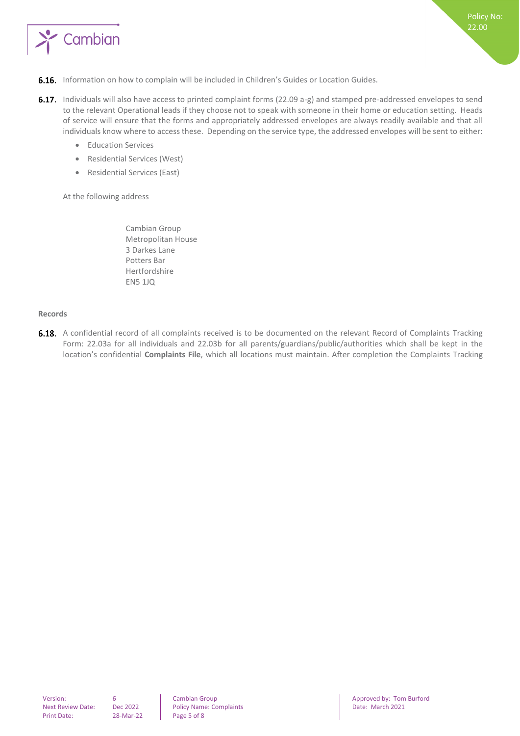

- **6.16.** Information on how to complain will be included in Children's Guides or Location Guides.
- 6.17. Individuals will also have access to printed complaint forms (22.09 a-g) and stamped pre-addressed envelopes to send to the relevant Operational leads if they choose not to speak with someone in their home or education setting. Heads of service will ensure that the forms and appropriately addressed envelopes are always readily available and that all individuals know where to access these. Depending on the service type, the addressed envelopes will be sent to either:
	- Education Services
	- Residential Services (West)
	- Residential Services (East)

At the following address

Cambian Group Metropolitan House 3 Darkes Lane Potters Bar Hertfordshire EN5 1JQ

#### <span id="page-4-0"></span>**Records**

6.18. A confidential record of all complaints received is to be documented on the relevant Record of Complaints Tracking Form: 22.03a for all individuals and 22.03b for all parents/guardians/public/authorities which shall be kept in the location's confidential **Complaints File**, which all locations must maintain. After completion the Complaints Tracking

Next Review Date: Dec 2022 Policy Name: Complaints Date: March 2021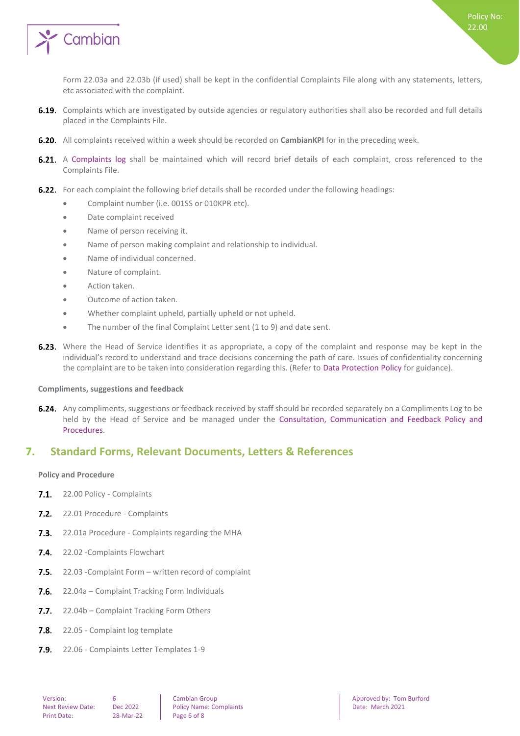

Form 22.03a and 22.03b (if used) shall be kept in the confidential Complaints File along with any statements, letters, etc associated with the complaint.

- 6.19. Complaints which are investigated by outside agencies or regulatory authorities shall also be recorded and full details placed in the Complaints File.
- **6.20.** All complaints received within a week should be recorded on **CambianKPI** for in the preceding week.
- 6.21. A Complaints log shall be maintained which will record brief details of each complaint, cross referenced to the Complaints File.
- 6.22. For each complaint the following brief details shall be recorded under the following headings:
	- Complaint number (i.e. 001SS or 010KPR etc).
	- Date complaint received
	- Name of person receiving it.
	- Name of person making complaint and relationship to individual.
	- Name of individual concerned.
	- Nature of complaint.
	- Action taken.
	- Outcome of action taken.
	- Whether complaint upheld, partially upheld or not upheld.
	- The number of the final Complaint Letter sent (1 to 9) and date sent.
- **6.23.** Where the Head of Service identifies it as appropriate, a copy of the complaint and response may be kept in the individual's record to understand and trace decisions concerning the path of care. Issues of confidentiality concerning the complaint are to be taken into consideration regarding this. (Refer to Data Protection Policy for guidance).

#### <span id="page-5-0"></span>**Compliments, suggestions and feedback**

**6.24.** Any compliments, suggestions or feedback received by staff should be recorded separately on a Compliments Log to be held by the Head of Service and be managed under the Consultation, Communication and Feedback Policy and Procedures.

## <span id="page-5-1"></span>**7. Standard Forms, Relevant Documents, Letters & References**

#### <span id="page-5-2"></span>**Policy and Procedure**

- 7.1. 22.00 Policy Complaints
- 7.2. 22.01 Procedure Complaints
- **7.3.** 22.01a Procedure Complaints regarding the MHA
- 7.4. 22.02 Complaints Flowchart
- $7.5.$ 22.03 -Complaint Form – written record of complaint
- $7.6.$ 22.04a – Complaint Tracking Form Individuals
- $7.7.$ 22.04b – Complaint Tracking Form Others
- $7.8.$ 22.05 - Complaint log template
- 22.06 Complaints Letter Templates 1-9 $7.9.$

Next Review Date: Dec 2022 Policy Name: Complaints Date: March 2021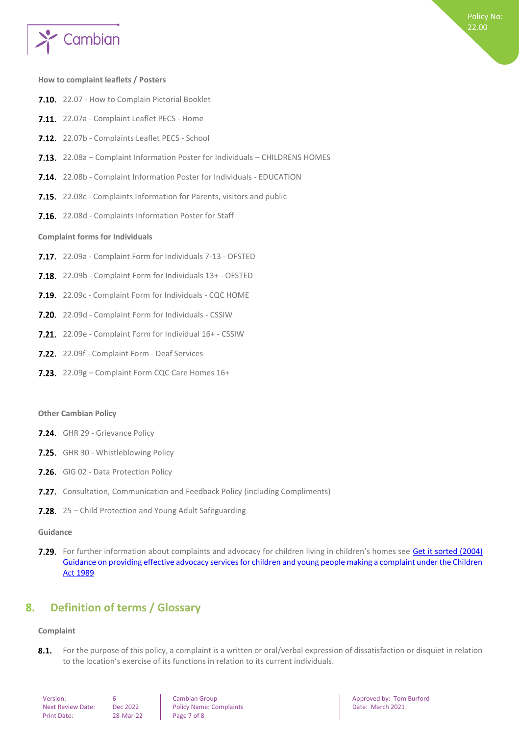

#### <span id="page-6-0"></span>**How to complaint leaflets / Posters**

- 7.10. 22.07 How to Complain Pictorial Booklet
- 7.11. 22.07a Complaint Leaflet PECS Home
- 7.12. 22.07b Complaints Leaflet PECS School
- 7.13. 22.08a Complaint Information Poster for Individuals CHILDRENS HOMES
- 7.14. 22.08b Complaint Information Poster for Individuals EDUCATION
- 7.15. 22.08c Complaints Information for Parents, visitors and public
- <span id="page-6-1"></span>7.16. 22.08d - Complaints Information Poster for Staff

#### **Complaint forms for Individuals**

- 7.17. 22.09a Complaint Form for Individuals 7-13 OFSTED
- 7.18. 22.09b Complaint Form for Individuals 13+ OFSTED
- 7.19. 22.09c Complaint Form for Individuals CQC HOME
- **7.20.** 22.09d Complaint Form for Individuals CSSIW
- 7.21. 22.09e Complaint Form for Individual 16+ CSSIW
- 7.22. 22.09f Complaint Form Deaf Services
- 7.23. 22.09g Complaint Form CQC Care Homes 16+

#### **Other Cambian Policy**

- 7.24. GHR 29 Grievance Policy
- 7.25. GHR 30 Whistleblowing Policy
- 7.26. GIG 02 Data Protection Policy
- **7.27.** Consultation, Communication and Feedback Policy (including Compliments)
- 7.28. 25 Child Protection and Young Adult Safeguarding

#### **Guidance**

7.29. For further information about complaints and advocacy for children living in children's homes see Get it sorted (2004) [Guidance on providing effective advocacy services for children and young people making a complaint under the Children](https://www.gov.uk/government/publications/advocacy-services-for-children-and-young-people)  [Act 1989](https://www.gov.uk/government/publications/advocacy-services-for-children-and-young-people)

## <span id="page-6-2"></span>**8. Definition of terms / Glossary**

#### <span id="page-6-3"></span>**Complaint**

 $8.1.$ For the purpose of this policy, a complaint is a written or oral/verbal expression of dissatisfaction or disquiet in relation to the location's exercise of its functions in relation to its current individuals.

| Version:                |
|-------------------------|
| <b>Next Review Date</b> |
| <b>Print Date:</b>      |

 $P^2$ -Mar-22 Page 7 of 8

Next Review Date: Online Policy Name: Complaints Date: Date: March 2021

**Version: 6 Cambian Group Approved by: Tom Burford Approved by: Tom Burford Approved by: Tom Burford**